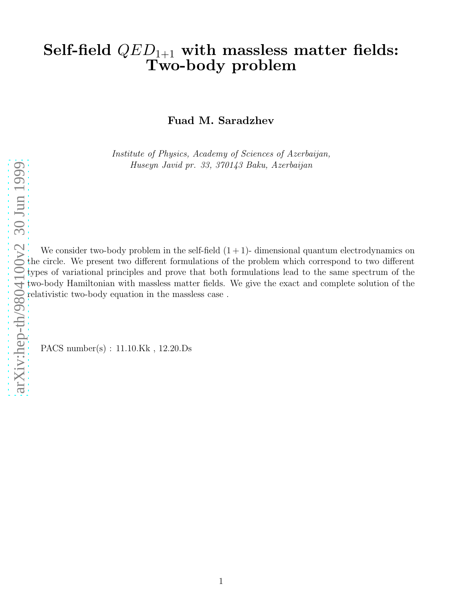# Self-field  $QED_{1+1}$  with massless matter fields: Two-body problem

Fuad M. Saradzhev

Institute of Physics, Academy of Sciences of Azerbaijan, Huseyn Javid pr. 33, 370143 Baku, Azerbaijan

[arXiv:hep-th/9804100v2 30 Jun 1999](http://arxiv.org/abs/hep-th/9804100v2)

We consider two-body problem in the self-field  $(1 + 1)$ - dimensional quantum electrodynamics on the circle. We present two different formulations of the problem which correspond to two different types of variational principles and prove that both formulations lead to the same spectrum of the two-body Hamiltonian with massless matter fields. We give the exact and complete solution of the relativistic two-body equation in the massless case .

PACS number(s) : 11.10.Kk , 12.20.Ds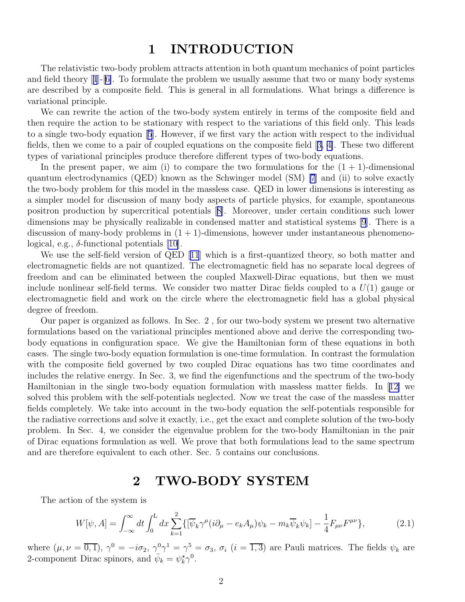### 1 INTRODUCTION

<span id="page-1-0"></span>The relativistic two-body problem attracts attention in both quantum mechanics of point particles and field theory[[1](#page-15-0)]-[[6\]](#page-15-0). To formulate the problem we usually assume that two or many body systems are described by a composite field. This is general in all formulations. What brings a difference is variational principle.

We can rewrite the action of the two-body system entirely in terms of the composite field and then require the action to be stationary with respect to the variations of this field only. This leads to a single two-body equation[[5](#page-15-0)]. However, if we first vary the action with respect to the individual fields, then we come to a pair of coupled equations on the composite field[[3, 4\]](#page-15-0). These two different types of variational principles produce therefore different types of two-body equations.

In the present paper, we aim (i) to compare the two formulations for the  $(1 + 1)$ -dimensional quantum electrodynamics (QED) known as the Schwinger model (SM) [\[7](#page-15-0)] and (ii) to solve exactly the two-body problem for this model in the massless case. QED in lower dimensions is interesting as a simpler model for discussion of many body aspects of particle physics, for example, spontaneous positron production by supercritical potentials[[8\]](#page-15-0). Moreover, under certain conditions such lower dimensions may be physically realizable in condensed matter and statistical systems [\[9](#page-15-0)]. There is a discussion of many-body problems in  $(1 + 1)$ -dimensions, however under instantaneous phenomenological, e.g.,  $\delta$ -functional potentials [\[10\]](#page-16-0).

Weuse the self-field version of QED [[11](#page-16-0)] which is a first-quantized theory, so both matter and electromagnetic fields are not quantized. The electromagnetic field has no separate local degrees of freedom and can be eliminated between the coupled Maxwell-Dirac equations, but then we must include nonlinear self-field terms. We consider two matter Dirac fields coupled to a  $U(1)$  gauge or electromagnetic field and work on the circle where the electromagnetic field has a global physical degree of freedom.

Our paper is organized as follows. In Sec. 2 , for our two-body system we present two alternative formulations based on the variational principles mentioned above and derive the corresponding twobody equations in configuration space. We give the Hamiltonian form of these equations in both cases. The single two-body equation formulation is one-time formulation. In contrast the formulation with the composite field governed by two coupled Dirac equations has two time coordinates and includes the relative energy. In Sec. 3, we find the eigenfunctions and the spectrum of the two-body Hamiltonian in the single two-body equation formulation with massless matter fields. In[[12\]](#page-16-0) we solved this problem with the self-potentials neglected. Now we treat the case of the massless matter fields completely. We take into account in the two-body equation the self-potentials responsible for the radiative corrections and solve it exactly, i.e., get the exact and complete solution of the two-body problem. In Sec. 4, we consider the eigenvalue problem for the two-body Hamiltonian in the pair of Dirac equations formulation as well. We prove that both formulations lead to the same spectrum and are therefore equivalent to each other. Sec. 5 contains our conclusions.

#### 2 TWO-BODY SYSTEM

The action of the system is

$$
W[\psi, A] = \int_{-\infty}^{\infty} dt \int_{0}^{L} dx \sum_{k=1}^{2} \{ [\overline{\psi}_{k} \gamma^{\mu} (i\partial_{\mu} - e_{k} A_{\mu}) \psi_{k} - m_{k} \overline{\psi}_{k} \psi_{k}] - \frac{1}{4} F_{\mu\nu} F^{\mu\nu} \},
$$
(2.1)

where  $(\mu, \nu = \overline{0, 1})$ ,  $\gamma^0 = -i\sigma_2$ ,  $\gamma^0 \gamma^1 = \gamma^5 = \sigma_3$ ,  $\sigma_i$   $(i = \overline{1, 3})$  are Pauli matrices. The fields  $\psi_k$  are 2-component Dirac spinors, and  $\bar{\psi}_k = \psi_k^{\star} \gamma^0$ .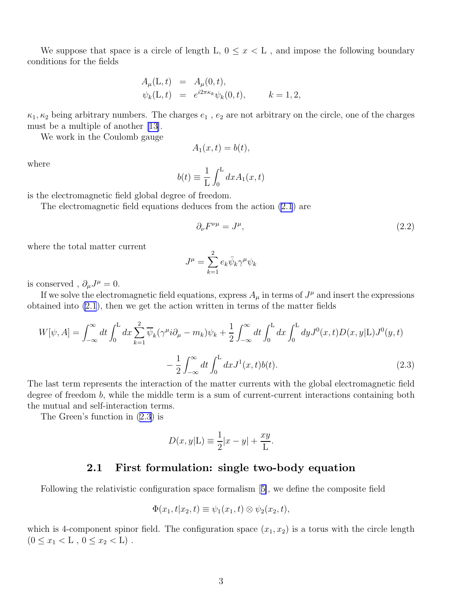<span id="page-2-0"></span>We suppose that space is a circle of length L,  $0 \leq x \leq L$ , and impose the following boundary conditions for the fields

$$
A_{\mu}(\mathbf{L}, t) = A_{\mu}(0, t), \n\psi_{k}(\mathbf{L}, t) = e^{i2\pi\kappa_{k}}\psi_{k}(0, t), \qquad k = 1, 2,
$$

 $\kappa_1, \kappa_2$  being arbitrary numbers. The charges  $e_1$ ,  $e_2$  are not arbitrary on the circle, one of the charges must be a multiple of another [\[13\]](#page-16-0).

We work in the Coulomb gauge

$$
A_1(x,t) = b(t),
$$

where

$$
b(t) \equiv \frac{1}{L} \int_0^L dx A_1(x, t)
$$

is the electromagnetic field global degree of freedom.

The electromagnetic field equations deduces from the action [\(2.1](#page-1-0)) are

$$
\partial_{\nu}F^{\nu\mu} = J^{\mu},\tag{2.2}
$$

where the total matter current

$$
J^{\mu} = \sum_{k=1}^{2} e_k \bar{\psi}_k \gamma^{\mu} \psi_k
$$

is conserved,  $\partial_{\mu}J^{\mu}=0$ .

If we solve the electromagnetic field equations, express  $A_\mu$  in terms of  $J^\mu$  and insert the expressions obtained into [\(2.1](#page-1-0)), then we get the action written in terms of the matter fields

$$
W[\psi, A] = \int_{-\infty}^{\infty} dt \int_{0}^{L} dx \sum_{k=1}^{2} \overline{\psi}_{k} (\gamma^{\mu} i \partial_{\mu} - m_{k}) \psi_{k} + \frac{1}{2} \int_{-\infty}^{\infty} dt \int_{0}^{L} dx \int_{0}^{L} dy J^{0}(x, t) D(x, y | L) J^{0}(y, t) - \frac{1}{2} \int_{-\infty}^{\infty} dt \int_{0}^{L} dx J^{1}(x, t) b(t).
$$
\n(2.3)

The last term represents the interaction of the matter currents with the global electromagnetic field degree of freedom b, while the middle term is a sum of current-current interactions containing both the mutual and self-interaction terms.

The Green's function in (2.3) is

$$
D(x, y | \mathcal{L}) \equiv \frac{1}{2}|x - y| + \frac{xy}{\mathcal{L}}.
$$

#### 2.1 First formulation: single two-body equation

Following the relativistic configuration space formalism[[5\]](#page-15-0), we define the composite field

$$
\Phi(x_1,t|x_2,t) \equiv \psi_1(x_1,t) \otimes \psi_2(x_2,t),
$$

which is 4-component spinor field. The configuration space  $(x_1, x_2)$  is a torus with the circle length  $(0 \leq x_1 < L , 0 \leq x_2 < L)$ .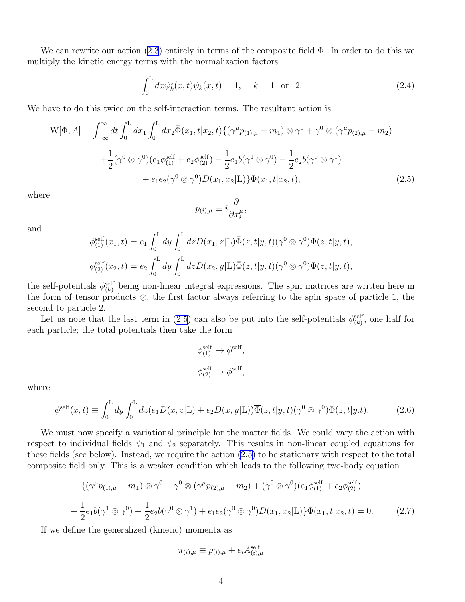<span id="page-3-0"></span>We can rewrite our action  $(2.3)$  entirely in terms of the composite field  $\Phi$ . In order to do this we multiply the kinetic energy terms with the normalization factors

$$
\int_0^L dx \psi_k^*(x, t) \psi_k(x, t) = 1, \quad k = 1 \text{ or } 2.
$$
 (2.4)

We have to do this twice on the self-interaction terms. The resultant action is

$$
W[\Phi, A] = \int_{-\infty}^{\infty} dt \int_{0}^{L} dx_{1} \int_{0}^{L} dx_{2} \bar{\Phi}(x_{1}, t | x_{2}, t) \{ (\gamma^{\mu} p_{(1), \mu} - m_{1}) \otimes \gamma^{0} + \gamma^{0} \otimes (\gamma^{\mu} p_{(2), \mu} - m_{2})
$$
  
+ 
$$
\frac{1}{2} (\gamma^{0} \otimes \gamma^{0}) (e_{1} \phi_{(1)}^{\text{self}} + e_{2} \phi_{(2)}^{\text{self}}) - \frac{1}{2} e_{1} b (\gamma^{1} \otimes \gamma^{0}) - \frac{1}{2} e_{2} b (\gamma^{0} \otimes \gamma^{1})
$$
  
+ 
$$
e_{1} e_{2} (\gamma^{0} \otimes \gamma^{0}) D(x_{1}, x_{2} | \mathcal{L}) \} \Phi(x_{1}, t | x_{2}, t), \qquad (2.5)
$$

where

$$
p_{(i),\mu} \equiv i \frac{\partial}{\partial x_i^{\mu}},
$$

and

$$
\phi_{(1)}^{\text{self}}(x_1, t) = e_1 \int_0^L dy \int_0^L dz D(x_1, z | L) \overline{\Phi}(z, t | y, t) (\gamma^0 \otimes \gamma^0) \Phi(z, t | y, t),
$$
  

$$
\phi_{(2)}^{\text{self}}(x_2, t) = e_2 \int_0^L dy \int_0^L dz D(x_2, y | L) \overline{\Phi}(z, t | y, t) (\gamma^0 \otimes \gamma^0) \Phi(z, t | y, t),
$$

the self-potentials  $\phi_{(k)}^{\text{self}}$  being non-linear integral expressions. The spin matrices are written here in the form of tensor products ⊗, the first factor always referring to the spin space of particle 1, the second to particle 2.

Let us note that the last term in (2.5) can also be put into the self-potentials  $\phi_{(k)}^{\text{self}}$ , one half for each particle; the total potentials then take the form

$$
\phi_{(1)}^{\text{self}} \to \phi^{\text{self}},
$$
  

$$
\phi_{(2)}^{\text{self}} \to \phi^{\text{self}},
$$

where

$$
\phi^{\text{self}}(x,t) \equiv \int_0^L dy \int_0^L dz (e_1 D(x,z|\mathcal{L}) + e_2 D(x,y|\mathcal{L})) \overline{\Phi}(z,t|y,t) (\gamma^0 \otimes \gamma^0) \Phi(z,t|y,t). \tag{2.6}
$$

We must now specify a variational principle for the matter fields. We could vary the action with respect to individual fields  $\psi_1$  and  $\psi_2$  separately. This results in non-linear coupled equations for these fields (see below). Instead, we require the action (2.5) to be stationary with respect to the total composite field only. This is a weaker condition which leads to the following two-body equation

$$
\{(\gamma^{\mu}p_{(1),\mu} - m_1) \otimes \gamma^0 + \gamma^0 \otimes (\gamma^{\mu}p_{(2),\mu} - m_2) + (\gamma^0 \otimes \gamma^0)(e_1\phi_{(1)}^{\text{self}} + e_2\phi_{(2)}^{\text{self}})
$$

$$
-\frac{1}{2}e_1b(\gamma^1 \otimes \gamma^0) - \frac{1}{2}e_2b(\gamma^0 \otimes \gamma^1) + e_1e_2(\gamma^0 \otimes \gamma^0)D(x_1, x_2|L)\}\Phi(x_1, t|x_2, t) = 0. \tag{2.7}
$$

If we define the generalized (kinetic) momenta as

$$
\pi_{(i),\mu} \equiv p_{(i),\mu} + e_i A_{(i),\mu}^{\text{self}}
$$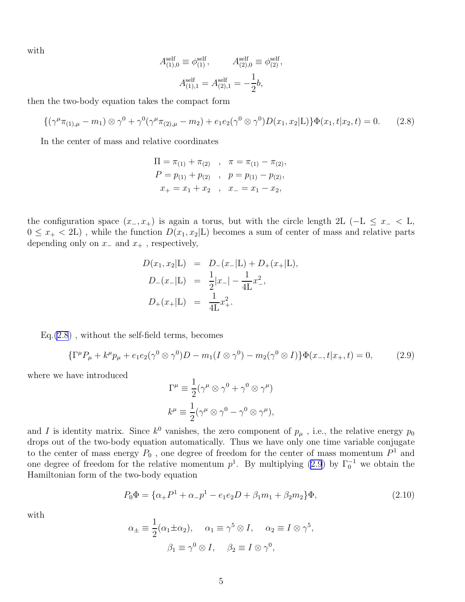<span id="page-4-0"></span>with

$$
A_{(1),0}^{\text{self}} \equiv \phi_{(1)}^{\text{self}}, \qquad A_{(2),0}^{\text{self}} \equiv \phi_{(2)}^{\text{self}},
$$

$$
A_{(1),1}^{\text{self}} = A_{(2),1}^{\text{self}} = -\frac{1}{2}b,
$$

then the two-body equation takes the compact form

$$
\{(\gamma^{\mu}\pi_{(1),\mu}-m_1)\otimes\gamma^0+\gamma^0(\gamma^{\mu}\pi_{(2),\mu}-m_2)+e_1e_2(\gamma^0\otimes\gamma^0)D(x_1,x_2|L)\}\Phi(x_1,t|x_2,t)=0.\tag{2.8}
$$

In the center of mass and relative coordinates

$$
\Pi = \pi_{(1)} + \pi_{(2)}, \quad \pi = \pi_{(1)} - \pi_{(2)},
$$
  
\n
$$
P = p_{(1)} + p_{(2)}, \quad p = p_{(1)} - p_{(2)},
$$
  
\n
$$
x_{+} = x_{1} + x_{2}, \quad x_{-} = x_{1} - x_{2},
$$

the configuration space  $(x_-, x_+)$  is again a torus, but with the circle length 2L (-L  $\leq x_-$  < L,  $0 \leq x_{+} < 2L$ ), while the function  $D(x_1, x_2|L)$  becomes a sum of center of mass and relative parts depending only on  $x_-\$  and  $x_+$ , respectively,

$$
D(x_1, x_2 | \mathbf{L}) = D_-(x_- | \mathbf{L}) + D_+(x_+ | \mathbf{L}),
$$
  
\n
$$
D_-(x_- | \mathbf{L}) = \frac{1}{2} |x_-| - \frac{1}{4\mathbf{L}} x_-^2,
$$
  
\n
$$
D_+(x_+ | \mathbf{L}) = \frac{1}{4\mathbf{L}} x_+^2.
$$

 $Eq.(2.8)$ , without the self-field terms, becomes

$$
\{\Gamma^{\mu}P_{\mu} + k^{\mu}p_{\mu} + e_1e_2(\gamma^0 \otimes \gamma^0)D - m_1(I \otimes \gamma^0) - m_2(\gamma^0 \otimes I)\}\Phi(x_{-}, t|x_{+}, t) = 0, \tag{2.9}
$$

where we have introduced

$$
\Gamma^{\mu} \equiv \frac{1}{2} (\gamma^{\mu} \otimes \gamma^{0} + \gamma^{0} \otimes \gamma^{\mu})
$$
  

$$
k^{\mu} \equiv \frac{1}{2} (\gamma^{\mu} \otimes \gamma^{0} - \gamma^{0} \otimes \gamma^{\mu}),
$$

and I is identity matrix. Since  $k^0$  vanishes, the zero component of  $p_\mu$ , i.e., the relative energy  $p_0$ drops out of the two-body equation automatically. Thus we have only one time variable conjugate to the center of mass energy  $P_0$ , one degree of freedom for the center of mass momentum  $P<sup>1</sup>$  and one degree of freedom for the relative momentum  $p^1$ . By multiplying (2.9) by  $\Gamma_0^{-1}$  we obtain the Hamiltonian form of the two-body equation

$$
P_0 \Phi = \{ \alpha_+ P^1 + \alpha_- p^1 - e_1 e_2 D + \beta_1 m_1 + \beta_2 m_2 \} \Phi,
$$
\n(2.10)

with

$$
\alpha_{\pm} \equiv \frac{1}{2} (\alpha_1 \pm \alpha_2), \quad \alpha_1 \equiv \gamma^5 \otimes I, \quad \alpha_2 \equiv I \otimes \gamma^5,
$$

$$
\beta_1 \equiv \gamma^0 \otimes I, \quad \beta_2 \equiv I \otimes \gamma^0,
$$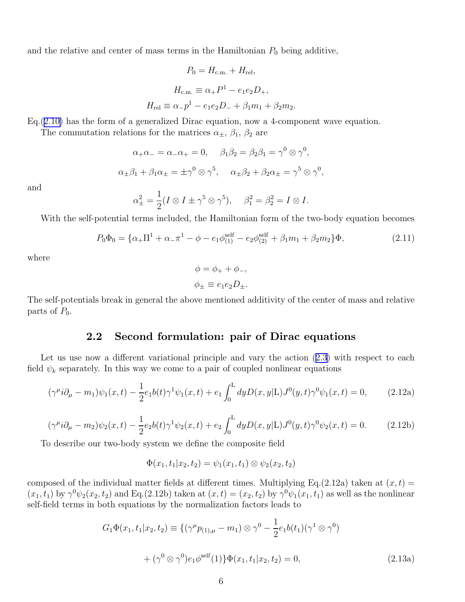and the relative and center of mass terms in the Hamiltonian  $P_0$  being additive,

$$
P_0 = H_{\text{c.m.}} + H_{\text{rel}},
$$
  
\n
$$
H_{\text{c.m.}} \equiv \alpha_+ P^1 - e_1 e_2 D_+,
$$
  
\n
$$
H_{\text{rel}} \equiv \alpha_- p^1 - e_1 e_2 D_- + \beta_1 m_1 + \beta_2 m_2.
$$

Eq.([2.10\)](#page-4-0) has the form of a generalized Dirac equation, now a 4-component wave equation.

The commutation relations for the matrices  $\alpha_{\pm}$ ,  $\beta_1$ ,  $\beta_2$  are

$$
\alpha_+\alpha_- = \alpha_-\alpha_+ = 0, \quad \beta_1\beta_2 = \beta_2\beta_1 = \gamma^0 \otimes \gamma^0,
$$
  

$$
\alpha_{\pm}\beta_1 + \beta_1\alpha_{\pm} = \pm \gamma^0 \otimes \gamma^5, \quad \alpha_{\pm}\beta_2 + \beta_2\alpha_{\pm} = \gamma^5 \otimes \gamma^0,
$$

and

$$
\alpha_{\pm}^2 = \frac{1}{2}(I \otimes I \pm \gamma^5 \otimes \gamma^5), \quad \beta_1^2 = \beta_2^2 = I \otimes I.
$$

With the self-potential terms included, the Hamiltonian form of the two-body equation becomes

$$
P_0\Phi_0 = \{\alpha_+\Pi^1 + \alpha_-\pi^1 - \phi - e_1\phi_{(1)}^{\text{self}} - e_2\phi_{(2)}^{\text{self}} + \beta_1m_1 + \beta_2m_2\}\Phi,\tag{2.11}
$$

where

$$
\phi = \phi_+ + \phi_-,
$$
  

$$
\phi_{\pm} \equiv e_1 e_2 D_{\pm}.
$$

The self-potentials break in general the above mentioned additivity of the center of mass and relative parts of  $P_0$ .

#### 2.2 Second formulation: pair of Dirac equations

Letus use now a different variational principle and vary the action  $(2.3)$  $(2.3)$  with respect to each field  $\psi_k$  separately. In this way we come to a pair of coupled nonlinear equations

$$
(\gamma^{\mu}i\partial_{\mu} - m_1)\psi_1(x,t) - \frac{1}{2}e_1b(t)\gamma^1\psi_1(x,t) + e_1\int_0^L dy D(x,y|L)J^0(y,t)\gamma^0\psi_1(x,t) = 0, \qquad (2.12a)
$$

$$
(\gamma^{\mu}i\partial_{\mu} - m_2)\psi_2(x,t) - \frac{1}{2}e_2b(t)\gamma^1\psi_2(x,t) + e_2\int_0^L dy D(x,y|L)J^0(y,t)\gamma^0\psi_2(x,t) = 0.
$$
 (2.12b)

To describe our two-body system we define the composite field

$$
\Phi(x_1,t_1|x_2,t_2)=\psi_1(x_1,t_1)\otimes\psi_2(x_2,t_2)
$$

composed of the individual matter fields at different times. Multiplying Eq.(2.12a) taken at  $(x, t)$  =  $(x_1, t_1)$  by  $\gamma^0 \psi_2(x_2, t_2)$  and Eq.(2.12b) taken at  $(x, t) = (x_2, t_2)$  by  $\gamma^0 \psi_1(x_1, t_1)$  as well as the nonlinear self-field terms in both equations by the normalization factors leads to

$$
G_1 \Phi(x_1, t_1 | x_2, t_2) \equiv \{ (\gamma^{\mu} p_{(1), \mu} - m_1) \otimes \gamma^0 - \frac{1}{2} e_1 b(t_1) (\gamma^1 \otimes \gamma^0) + (\gamma^0 \otimes \gamma^0) e_1 \phi^{\text{self}}(1) \} \Phi(x_1, t_1 | x_2, t_2) = 0,
$$
\n(2.13a)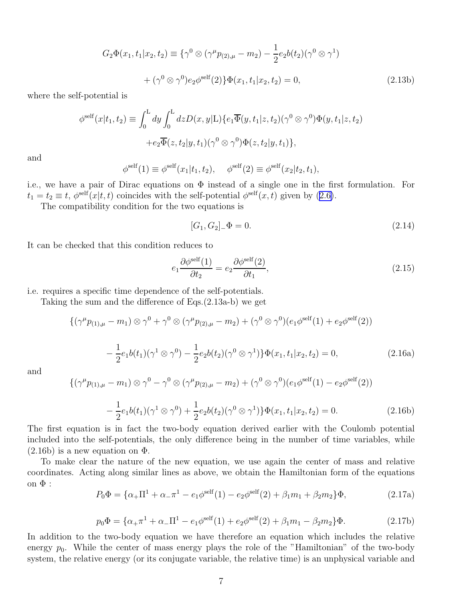$$
G_2\Phi(x_1, t_1 | x_2, t_2) \equiv \{ \gamma^0 \otimes (\gamma^\mu p_{(2), \mu} - m_2) - \frac{1}{2} e_2 b(t_2) (\gamma^0 \otimes \gamma^1) + (\gamma^0 \otimes \gamma^0) e_2 \phi^{\text{self}}(2) \} \Phi(x_1, t_1 | x_2, t_2) = 0,
$$
\n(2.13b)

where the self-potential is

$$
\phi^{\text{self}}(x|t_1, t_2) \equiv \int_0^L dy \int_0^L dz D(x, y|L) \{e_1 \overline{\Phi}(y, t_1|z, t_2) (\gamma^0 \otimes \gamma^0) \Phi(y, t_1|z, t_2) + e_2 \overline{\Phi}(z, t_2|y, t_1) (\gamma^0 \otimes \gamma^0) \Phi(z, t_2|y, t_1) \},
$$

and

$$
\phi^{\text{self}}(1) \equiv \phi^{\text{self}}(x_1|t_1, t_2), \quad \phi^{\text{self}}(2) \equiv \phi^{\text{self}}(x_2|t_2, t_1),
$$

i.e., we have a pair of Dirac equations on  $\Phi$  instead of a single one in the first formulation. For  $t_1 = t_2 \equiv t$  $t_1 = t_2 \equiv t$  $t_1 = t_2 \equiv t$ ,  $\phi^{\text{self}}(x|t, t)$  coincides with the self-potential  $\phi^{\text{self}}(x, t)$  given by ([2.6\)](#page-3-0).

The compatibility condition for the two equations is

$$
[G_1, G_2]_-\Phi = 0. \tag{2.14}
$$

It can be checked that this condition reduces to

$$
e_1 \frac{\partial \phi^{\text{self}}(1)}{\partial t_2} = e_2 \frac{\partial \phi^{\text{self}}(2)}{\partial t_1},\tag{2.15}
$$

i.e. requires a specific time dependence of the self-potentials.

Taking the sum and the difference of Eqs.(2.13a-b) we get

$$
\{(\gamma^{\mu}p_{(1),\mu} - m_1) \otimes \gamma^0 + \gamma^0 \otimes (\gamma^{\mu}p_{(2),\mu} - m_2) + (\gamma^0 \otimes \gamma^0)(e_1\phi^{\text{self}}(1) + e_2\phi^{\text{self}}(2))
$$
  

$$
- \frac{1}{2}e_1b(t_1)(\gamma^1 \otimes \gamma^0) - \frac{1}{2}e_2b(t_2)(\gamma^0 \otimes \gamma^1)\}\Phi(x_1, t_1|x_2, t_2) = 0,
$$
 (2.16a)

and

$$
\{(\gamma^{\mu}p_{(1),\mu} - m_1) \otimes \gamma^0 - \gamma^0 \otimes (\gamma^{\mu}p_{(2),\mu} - m_2) + (\gamma^0 \otimes \gamma^0)(e_1\phi^{\text{self}}(1) - e_2\phi^{\text{self}}(2))
$$
  

$$
\frac{1}{\sqrt{(1-\gamma^0)(1-\gamma^0)(1-\gamma^0)(1-\gamma^0)(1-\gamma^0)(1-\gamma^0)(1-\gamma^0)(1-\gamma^0)(1-\gamma^0)(1-\gamma^0)(1-\gamma^0)(1-\gamma^0)(1-\gamma^0)(1-\gamma^0)(1-\gamma^0)(1-\gamma^0)(1-\gamma^0)(1-\gamma^0)(1-\gamma^0)(1-\gamma^0)(1-\gamma^0)(1-\gamma^0)(1-\gamma^0)(1-\gamma^0)(1-\gamma^0)(1-\gamma^0)(1-\gamma^0)(1-\gamma^0)(1-\gamma^0)(1-\gamma^0)(1-\gamma^0)(1-\gamma^0)(1-\gamma^0)(1-\gamma^0)(1-\gamma^0)(1-\gamma^0)(1-\gamma^0)(1-\gamma^0)(1-\gamma^0)(1-\gamma^0)(1-\gamma^0)(1-\gamma^0)(1-\gamma^0)(1-\gamma^0)(1-\gamma^0)(1-\gamma^0)(1-\gamma^0)(1-\gamma^0)(1-\gamma^0)(1-\gamma^0)(1-\gamma^0)(1-\gamma^0)(1-\gamma^0)(1-\gamma^0)(1-\gamma^0)(1-\gamma^0)(1-\gamma^0)(1-\gamma^0)(1-\gamma^0)(1-\gamma^0)(1-\gamma^0)(1-\gamma^0)(1-\gamma^0)(1-\gamma^0)(1-\gamma^0)(1-\gamma^0)(1-\gamma^0)(1-\gamma^0)(1-\gamma^0)(1-\gamma^0)(1-\gamma^0)(1-\gamma^0)(1-\gamma^0)(1-\gamma^0)(1-\gamma^0)(1-\gamma^0)(1-\gamma^0)(1-\gamma^0)(1-\gamma^0)(1-\gamma^0)(1-\gamma^0)(1-\gamma^0)(1-\gamma^0)(1-\gamma^0)(1-\gamma^0)(1-\gamma^0)(1-\gamma^0)(1-\gamma^0)(1-\gamma^0)(1-\gamma^0)(1-\gamma^0)(1-\gamma^0)(1-\gamma^0)(1-\gamma^0)(1-\gamma^0)(1-\gamma^0)(1-\gamma^0)(1-\gamma^0)(1-\gamma^0)(1-\gamma^0)(1-\gamma^0)(1-\gamma^0)(1-\gamma^0)(1-\gamma^0)(1-\gamma^0)(1-\gamma^0)(1-\gamma^0)(1-\gamma^
$$

$$
-\frac{1}{2}e_1b(t_1)(\gamma^1 \otimes \gamma^0) + \frac{1}{2}e_2b(t_2)(\gamma^0 \otimes \gamma^1)\}\Phi(x_1, t_1|x_2, t_2) = 0.
$$
 (2.16b)  
uation is in fact the two-body equation derived earlier with the Coulomb potential

The first equation is in the twoincluded into the self-potentials, the only difference being in the number of time variables, while  $(2.16b)$  is a new equation on  $\Phi$ .

To make clear the nature of the new equation, we use again the center of mass and relative coordinates. Acting along similar lines as above, we obtain the Hamiltonian form of the equations on  $\Phi$  :

$$
P_0 \Phi = \{ \alpha_+ \Pi^1 + \alpha_- \pi^1 - e_1 \phi^{\text{self}}(1) - e_2 \phi^{\text{self}}(2) + \beta_1 m_1 + \beta_2 m_2 \} \Phi,
$$
(2.17a)

$$
p_0 \Phi = \{ \alpha_+ \pi^1 + \alpha_- \Pi^1 - e_1 \phi^{\text{self}}(1) + e_2 \phi^{\text{self}}(2) + \beta_1 m_1 - \beta_2 m_2 \} \Phi.
$$
 (2.17b)

In addition to the two-body equation we have therefore an equation which includes the relative energy  $p_0$ . While the center of mass energy plays the role of the "Hamiltonian" of the two-body system, the relative energy (or its conjugate variable, the relative time) is an unphysical variable and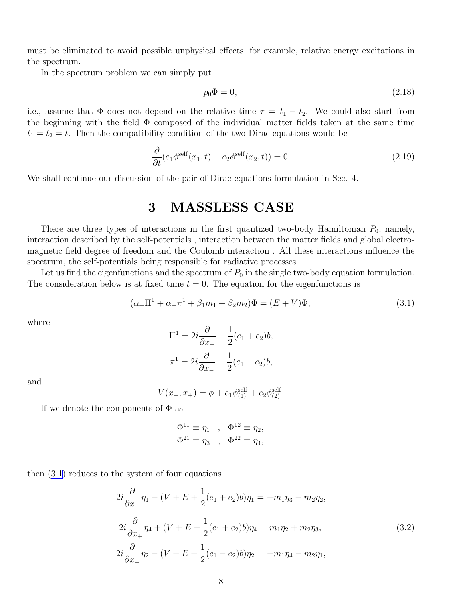<span id="page-7-0"></span>must be eliminated to avoid possible unphysical effects, for example, relative energy excitations in the spectrum.

In the spectrum problem we can simply put

$$
p_0 \Phi = 0,\t\t(2.18)
$$

i.e., assume that  $\Phi$  does not depend on the relative time  $\tau = t_1 - t_2$ . We could also start from the beginning with the field  $\Phi$  composed of the individual matter fields taken at the same time  $t_1 = t_2 = t$ . Then the compatibility condition of the two Dirac equations would be

$$
\frac{\partial}{\partial t}(e_1\phi^{\text{self}}(x_1, t) - e_2\phi^{\text{self}}(x_2, t)) = 0.
$$
\n(2.19)

We shall continue our discussion of the pair of Dirac equations formulation in Sec. 4.

### 3 MASSLESS CASE

There are three types of interactions in the first quantized two-body Hamiltonian  $P_0$ , namely, interaction described by the self-potentials , interaction between the matter fields and global electromagnetic field degree of freedom and the Coulomb interaction . All these interactions influence the spectrum, the self-potentials being responsible for radiative processes.

Let us find the eigenfunctions and the spectrum of  $P_0$  in the single two-body equation formulation. The consideration below is at fixed time  $t = 0$ . The equation for the eigenfunctions is

$$
(\alpha_{+}\Pi^{1} + \alpha_{-}\pi^{1} + \beta_{1}m_{1} + \beta_{2}m_{2})\Phi = (E + V)\Phi,
$$
\n(3.1)

where

$$
\Pi^1 = 2i\frac{\partial}{\partial x_+} - \frac{1}{2}(e_1 + e_2)b,
$$
  

$$
\pi^1 = 2i\frac{\partial}{\partial x_-} - \frac{1}{2}(e_1 - e_2)b,
$$

and

$$
V(x_-, x_+) = \phi + e_1 \phi_{(1)}^{\text{self}} + e_2 \phi_{(2)}^{\text{self}}.
$$

If we denote the components of  $\Phi$  as

$$
\Phi^{11} \equiv \eta_1 , \quad \Phi^{12} \equiv \eta_2,
$$
  

$$
\Phi^{21} \equiv \eta_3 , \quad \Phi^{22} \equiv \eta_4,
$$

then (3.1) reduces to the system of four equations

$$
2i\frac{\partial}{\partial x_+}\eta_1 - (V + E + \frac{1}{2}(e_1 + e_2)b)\eta_1 = -m_1\eta_3 - m_2\eta_2,
$$
  
\n
$$
2i\frac{\partial}{\partial x_+}\eta_4 + (V + E - \frac{1}{2}(e_1 + e_2)b)\eta_4 = m_1\eta_2 + m_2\eta_3,
$$
  
\n
$$
2i\frac{\partial}{\partial x_-}\eta_2 - (V + E + \frac{1}{2}(e_1 - e_2)b)\eta_2 = -m_1\eta_4 - m_2\eta_1,
$$
\n(3.2)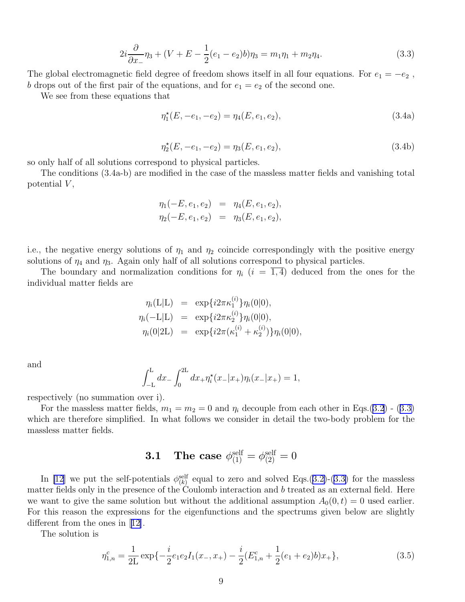$$
2i\frac{\partial}{\partial x_{-}}\eta_{3} + (V + E - \frac{1}{2}(e_{1} - e_{2})b)\eta_{3} = m_{1}\eta_{1} + m_{2}\eta_{4}.
$$
\n(3.3)

<span id="page-8-0"></span>The global electromagnetic field degree of freedom shows itself in all four equations. For  $e_1 = -e_2$ , b drops out of the first pair of the equations, and for  $e_1 = e_2$  of the second one.

We see from these equations that

$$
\eta_1^*(E, -e_1, -e_2) = \eta_4(E, e_1, e_2),\tag{3.4a}
$$

$$
\eta_2^{\star}(E, -e_1, -e_2) = \eta_3(E, e_1, e_2),\tag{3.4b}
$$

so only half of all solutions correspond to physical particles.

The conditions (3.4a-b) are modified in the case of the massless matter fields and vanishing total potential  $V$ ,

$$
\eta_1(-E, e_1, e_2) = \eta_4(E, e_1, e_2),
$$
  

$$
\eta_2(-E, e_1, e_2) = \eta_3(E, e_1, e_2),
$$

i.e., the negative energy solutions of  $\eta_1$  and  $\eta_2$  coincide correspondingly with the positive energy solutions of  $\eta_4$  and  $\eta_3$ . Again only half of all solutions correspond to physical particles.

The boundary and normalization conditions for  $\eta_i$   $(i = \overline{1, 4})$  deduced from the ones for the individual matter fields are

$$
\eta_i(\mathbf{L}|\mathbf{L}) = \exp\{i2\pi\kappa_1^{(i)}\}\eta_i(0|0),
$$
  
\n
$$
\eta_i(-\mathbf{L}|\mathbf{L}) = \exp\{i2\pi\kappa_2^{(i)}\}\eta_i(0|0),
$$
  
\n
$$
\eta_i(0|2\mathbf{L}) = \exp\{i2\pi(\kappa_1^{(i)} + \kappa_2^{(i)})\}\eta_i(0|0),
$$

and

$$
\int_{-L}^{L} dx_{-} \int_{0}^{2L} dx_{+} \eta_{i}^{\star} (x_{-} | x_{+}) \eta_{i} (x_{-} | x_{+}) = 1,
$$

respectively (no summation over i).

For the massless matter fields,  $m_1 = m_2 = 0$  and  $\eta_i$  decouple from each other in Eqs.[\(3.2](#page-7-0)) - (3.3) which are therefore simplified. In what follows we consider in detail the two-body problem for the massless matter fields.

## $\textbf{3.1} \quad \textbf{The case} \, \, \phi_{(1)}^{\text{self}} = \phi_{(2)}^{\text{self}} = 0$

In [\[12\]](#page-16-0) we put the self-potentials  $\phi_{(k)}^{\text{self}}$  equal to zero and solved Eqs.([3.2\)](#page-7-0)-(3.3) for the massless matter fields only in the presence of the Coulomb interaction and  $b$  treated as an external field. Here we want to give the same solution but without the additional assumption  $A_0(0, t) = 0$  used earlier. For this reason the expressions for the eigenfunctions and the spectrums given below are slightly different from the ones in[[12\]](#page-16-0).

The solution is

$$
\eta_{1,n}^c = \frac{1}{2L} \exp\{-\frac{i}{2}e_1e_2I_1(x_-, x_+) - \frac{i}{2}(E_{1,n}^c + \frac{1}{2}(e_1 + e_2)b)x_+\},\tag{3.5}
$$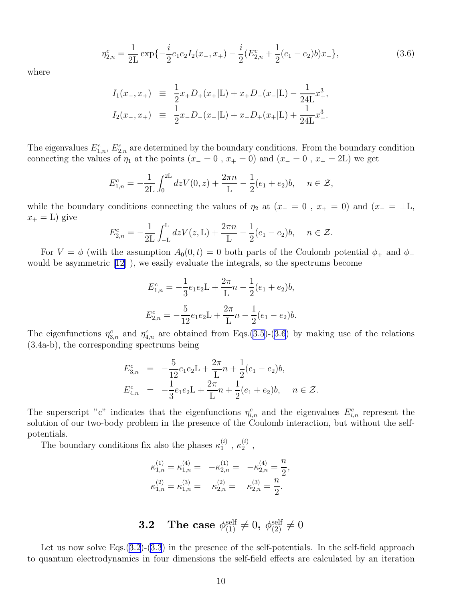$$
\eta_{2,n}^c = \frac{1}{2L} \exp\{-\frac{i}{2}e_1e_2I_2(x_-, x_+) - \frac{i}{2}(E_{2,n}^c + \frac{1}{2}(e_1 - e_2)b)x_-\},\tag{3.6}
$$

where

$$
I_1(x_-, x_+) \equiv \frac{1}{2}x_+D_+(x_+|\mathbf{L}) + x_+D_-(x_-|\mathbf{L}) - \frac{1}{24\mathbf{L}}x_+^3,
$$
  
\n
$$
I_2(x_-, x_+) \equiv \frac{1}{2}x_-D_-(x_-|\mathbf{L}) + x_-D_+(x_+|\mathbf{L}) + \frac{1}{24\mathbf{L}}x_-^3.
$$

The eigenvalues  $E_{1,n}^c$ ,  $E_{2,n}^c$  are determined by the boundary conditions. From the boundary condition connecting the values of  $\eta_1$  at the points  $(x_0 = 0, x_0 = 0)$  and  $(x_0 = 0, x_0 = 2L)$  we get

$$
E_{1,n}^c = -\frac{1}{2L} \int_0^{2L} dz V(0, z) + \frac{2\pi n}{L} - \frac{1}{2}(e_1 + e_2)b, \quad n \in \mathcal{Z},
$$

while the boundary conditions connecting the values of  $\eta_2$  at  $(x_0 = 0, x_0 = 0)$  and  $(x_0 = \pm L,$  $x_+ = L$ ) give

$$
E_{2,n}^c = -\frac{1}{2L} \int_{-L}^{L} dz V(z, L) + \frac{2\pi n}{L} - \frac{1}{2}(e_1 - e_2)b, \quad n \in \mathcal{Z}.
$$

For  $V = \phi$  (with the assumption  $A_0(0, t) = 0$  both parts of the Coulomb potential  $\phi_+$  and  $\phi_$ would be asymmetric [\[12\]](#page-16-0) ), we easily evaluate the integrals, so the spectrums become

$$
E_{1,n}^{c} = -\frac{1}{3}e_1e_2 \mathcal{L} + \frac{2\pi}{\mathcal{L}}n - \frac{1}{2}(e_1 + e_2)b,
$$
  

$$
E_{2,n}^{c} = -\frac{5}{12}e_1e_2 \mathcal{L} + \frac{2\pi}{\mathcal{L}}n - \frac{1}{2}(e_1 - e_2)b.
$$

The eigenfunctions  $\eta_{3,n}^c$  and  $\eta_{4,n}^c$  are obtained from Eqs.[\(3.5](#page-8-0))-(3.6) by making use of the relations (3.4a-b), the corresponding spectrums being

$$
E_{3,n}^{c} = -\frac{5}{12}e_1e_2\mathbf{L} + \frac{2\pi}{\mathbf{L}}n + \frac{1}{2}(e_1 - e_2)b,
$$
  
\n
$$
E_{4,n}^{c} = -\frac{1}{3}e_1e_2\mathbf{L} + \frac{2\pi}{\mathbf{L}}n + \frac{1}{2}(e_1 + e_2)b, \quad n \in \mathcal{Z}.
$$

The superscript "c" indicates that the eigenfunctions  $\eta_{i,n}^c$  and the eigenvalues  $E_{i,n}^c$  represent the solution of our two-body problem in the presence of the Coulomb interaction, but without the selfpotentials.

The boundary conditions fix also the phases  $\kappa_1^{(i)}$  $\mathfrak{c}_1^{(i)}$  ,  $\kappa_2^{(i)}$  $\frac{1}{2}$ ,

$$
\kappa_{1,n}^{(1)} = \kappa_{1,n}^{(4)} = -\kappa_{2,n}^{(1)} = -\kappa_{2,n}^{(4)} = \frac{n}{2},
$$
  

$$
\kappa_{1,n}^{(2)} = \kappa_{1,n}^{(3)} = -\kappa_{2,n}^{(2)} = -\kappa_{2,n}^{(3)} = \frac{n}{2}.
$$

 $\textbf{3.2} \quad \textbf{The case} \: \: \phi_{(1)}^{\text{self}} \neq 0, \: \phi_{(2)}^{\text{self}} \neq 0$ 

Let us now solve Eqs.  $(3.2)$  $(3.2)$ - $(3.3)$  $(3.3)$  in the presence of the self-potentials. In the self-field approach to quantum electrodynamics in four dimensions the self-field effects are calculated by an iteration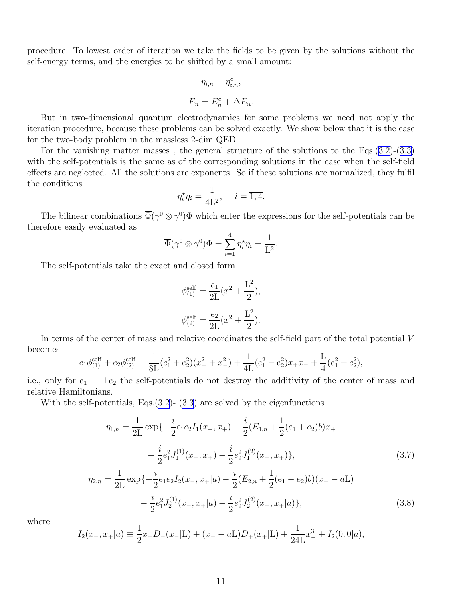procedure. To lowest order of iteration we take the fields to be given by the solutions without the self-energy terms, and the energies to be shifted by a small amount:

$$
\eta_{i,n} = \eta_{i,n}^c,
$$
  

$$
E_n = E_n^c + \Delta E_n.
$$

But in two-dimensional quantum electrodynamics for some problems we need not apply the iteration procedure, because these problems can be solved exactly. We show below that it is the case for the two-body problem in the massless 2-dim QED.

For the vanishing matter masses, the general structure of the solutions to the Eqs.  $(3.2)-(3.3)$  $(3.2)-(3.3)$  $(3.2)-(3.3)$  $(3.2)-(3.3)$ with the self-potentials is the same as of the corresponding solutions in the case when the self-field effects are neglected. All the solutions are exponents. So if these solutions are normalized, they fulfil the conditions

$$
\eta_i^* \eta_i = \frac{1}{4L^2}, \quad i = \overline{1, 4}.
$$

The bilinear combinations  $\overline{\Phi}(\gamma^0 \otimes \gamma^0) \Phi$  which enter the expressions for the self-potentials can be therefore easily evaluated as

$$
\overline{\Phi}(\gamma^0 \otimes \gamma^0)\Phi = \sum_{i=1}^4 \eta_i^* \eta_i = \frac{1}{L^2}.
$$

The self-potentials take the exact and closed form

$$
\phi_{(1)}^{\text{self}} = \frac{e_1}{2L}(x^2 + \frac{L^2}{2}),
$$
  

$$
\phi_{(2)}^{\text{self}} = \frac{e_2}{2L}(x^2 + \frac{L^2}{2}).
$$

In terms of the center of mass and relative coordinates the self-field part of the total potential V becomes

$$
e_1\phi_{(1)}^{\text{self}} + e_2\phi_{(2)}^{\text{self}} = \frac{1}{8\mathcal{L}}(e_1^2 + e_2^2)(x_+^2 + x_-^2) + \frac{1}{4\mathcal{L}}(e_1^2 - e_2^2)x_+x_- + \frac{\mathcal{L}}{4}(e_1^2 + e_2^2),
$$

i.e., only for  $e_1 = \pm e_2$  the self-potentials do not destroy the additivity of the center of mass and relative Hamiltonians.

With the self-potentials, Eqs.  $(3.2)$  $(3.2)$ -  $(3.3)$  are solved by the eigenfunctions

$$
\eta_{1,n} = \frac{1}{2L} \exp\{-\frac{i}{2}e_1e_2I_1(x_-, x_+) - \frac{i}{2}(E_{1,n} + \frac{1}{2}(e_1 + e_2)b)x_+\
$$

$$
-\frac{i}{2}e_1^2J_1^{(1)}(x_-, x_+) - \frac{i}{2}e_2^2J_1^{(2)}(x_-, x_+)\},\
$$

$$
\eta_{2,n} = \frac{1}{2L} \exp\{-\frac{i}{2}e_1e_2I_2(x_-, x_+|a) - \frac{i}{2}(E_{2,n} + \frac{1}{2}(e_1 - e_2)b)(x_-, a\),\}
$$

$$
-\frac{i}{2}e_1^2J_2^{(1)}(x_-, x_+|a) - \frac{i}{2}e_2^2J_2^{(2)}(x_-, x_+|a)\},\
$$
(3.8)

where

$$
I_2(x_-, x_+|a) \equiv \frac{1}{2}x_-D_-(x_-|L) + (x_- - aL)D_+(x_+|L) + \frac{1}{24L}x_-^3 + I_2(0,0|a),
$$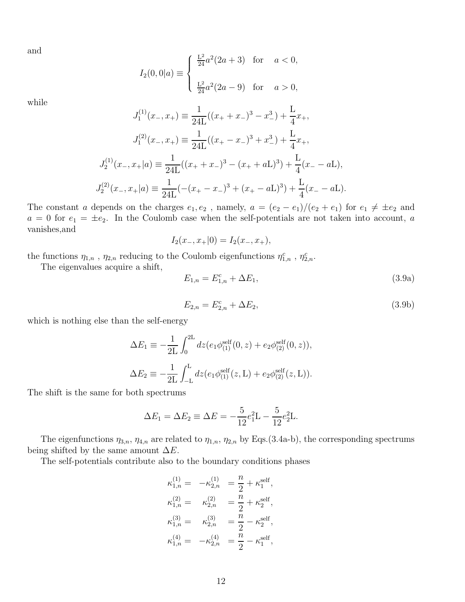and

$$
I_2(0,0|a) \equiv \begin{cases} \frac{L^2}{24}a^2(2a+3) & \text{for } a < 0, \\ \frac{L^2}{24}a^2(2a-9) & \text{for } a > 0, \end{cases}
$$

while

$$
J_1^{(1)}(x_-, x_+) \equiv \frac{1}{24L}((x_+ + x_-)^3 - x_-^3) + \frac{L}{4}x_+,
$$
  
\n
$$
J_1^{(2)}(x_-, x_+) \equiv \frac{1}{24L}((x_+ - x_-)^3 + x_-^3) + \frac{L}{4}x_+,
$$
  
\n
$$
J_2^{(1)}(x_-, x_+|a) \equiv \frac{1}{24L}((x_+ + x_-)^3 - (x_+ + aL)^3) + \frac{L}{4}(x_- - aL),
$$
  
\n
$$
J_2^{(2)}(x_-, x_+|a) \equiv \frac{1}{24L}(-(x_+ - x_-)^3 + (x_+ - aL)^3) + \frac{L}{4}(x_- - aL).
$$

The constant a depends on the charges  $e_1, e_2$ , namely,  $a = (e_2 - e_1)/(e_2 + e_1)$  for  $e_1 \neq \pm e_2$  and  $a = 0$  for  $e_1 = \pm e_2$ . In the Coulomb case when the self-potentials are not taken into account, a vanishes,and

$$
I_2(x_-, x_+|0) = I_2(x_-, x_+),
$$

the functions  $\eta_{1,n}$ ,  $\eta_{2,n}$  reducing to the Coulomb eigenfunctions  $\eta_{1,n}^c$ ,  $\eta_{2,n}^c$ .

The eigenvalues acquire a shift,

$$
E_{1,n} = E_{1,n}^c + \Delta E_1,\tag{3.9a}
$$

$$
E_{2,n} = E_{2,n}^c + \Delta E_2,\tag{3.9b}
$$

which is nothing else than the self-energy

$$
\Delta E_1 \equiv -\frac{1}{2L} \int_0^{2L} dz (e_1 \phi_{(1)}^{\text{self}}(0, z) + e_2 \phi_{(2)}^{\text{self}}(0, z)),
$$
  

$$
\Delta E_2 \equiv -\frac{1}{2L} \int_{-L}^{L} dz (e_1 \phi_{(1)}^{\text{self}}(z, L) + e_2 \phi_{(2)}^{\text{self}}(z, L)).
$$

The shift is the same for both spectrums

$$
\Delta E_1 = \Delta E_2 \equiv \Delta E = -\frac{5}{12}e_1^2 \mathcal{L} - \frac{5}{12}e_2^2 \mathcal{L}.
$$

The eigenfunctions  $\eta_{3,n}$ ,  $\eta_{4,n}$  are related to  $\eta_{1,n}$ ,  $\eta_{2,n}$  by Eqs.(3.4a-b), the corresponding spectrums being shifted by the same amount  $\Delta E$ .

The self-potentials contribute also to the boundary conditions phases

$$
\begin{aligned} \kappa_{1,n}^{(1)} &=& -\kappa_{2,n}^{(1)} &= \frac{n}{2} + \kappa_1^{\text{self}}, \\ \kappa_{1,n}^{(2)} &=& \kappa_{2,n}^{(2)} &= \frac{n}{2} + \kappa_2^{\text{self}}, \\ \kappa_{1,n}^{(3)} &=& \kappa_{2,n}^{(3)} &= \frac{n}{2} - \kappa_2^{\text{self}}, \\ \kappa_{1,n}^{(4)} &=& -\kappa_{2,n}^{(4)} &= \frac{n}{2} - \kappa_1^{\text{self}}, \end{aligned}
$$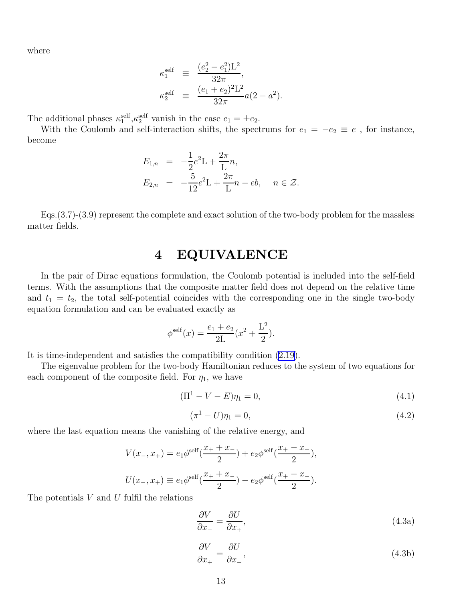where

$$
\begin{array}{rcl} \kappa^{\rm self}_1 & \equiv & \displaystyle \frac{(e_2^2-e_1^2){\rm L}^2}{32\pi}, \\[10pt] \kappa^{\rm self}_2 & \equiv & \displaystyle \frac{(e_1+e_2)^2{\rm L}^2}{32\pi}a(2-a^2). \end{array}
$$

The additional phases  $\kappa_1^{\text{self}}$ ,  $\kappa_2^{\text{self}}$  vanish in the case  $e_1 = \pm e_2$ .

With the Coulomb and self-interaction shifts, the spectrums for  $e_1 = -e_2 \equiv e$ , for instance, become

$$
E_{1,n} = -\frac{1}{2}e^{2}L + \frac{2\pi}{L}n,
$$
  
\n
$$
E_{2,n} = -\frac{5}{12}e^{2}L + \frac{2\pi}{L}n - eb, \quad n \in \mathcal{Z}.
$$

Eqs.(3.7)-(3.9) represent the complete and exact solution of the two-body problem for the massless matter fields.

#### 4 EQUIVALENCE

In the pair of Dirac equations formulation, the Coulomb potential is included into the self-field terms. With the assumptions that the composite matter field does not depend on the relative time and  $t_1 = t_2$ , the total self-potential coincides with the corresponding one in the single two-body equation formulation and can be evaluated exactly as

$$
\phi^{\text{self}}(x) = \frac{e_1 + e_2}{2L}(x^2 + \frac{L^2}{2}).
$$

It is time-independent and satisfies the compatibility condition([2.19\)](#page-7-0).

The eigenvalue problem for the two-body Hamiltonian reduces to the system of two equations for each component of the composite field. For  $\eta_1$ , we have

$$
(\Pi^1 - V - E)\eta_1 = 0,\t\t(4.1)
$$

$$
(\pi^1 - U)\eta_1 = 0,\t\t(4.2)
$$

where the last equation means the vanishing of the relative energy, and

$$
V(x_-, x_+) = e_1 \phi^{\text{self}}(\frac{x_+ + x_-}{2}) + e_2 \phi^{\text{self}}(\frac{x_+ - x_-}{2}),
$$
  

$$
U(x_-, x_+) \equiv e_1 \phi^{\text{self}}(\frac{x_+ + x_-}{2}) - e_2 \phi^{\text{self}}(\frac{x_+ - x_-}{2}).
$$

The potentials  $V$  and  $U$  fulfil the relations

$$
\frac{\partial V}{\partial x_{-}} = \frac{\partial U}{\partial x_{+}},\tag{4.3a}
$$

$$
\frac{\partial V}{\partial x_+} = \frac{\partial U}{\partial x_-},\tag{4.3b}
$$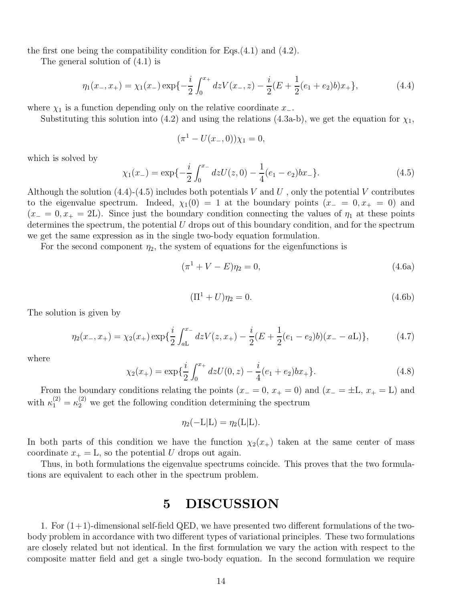the first one being the compatibility condition for Eqs.(4.1) and (4.2).

The general solution of (4.1) is

$$
\eta_1(x_-, x_+) = \chi_1(x_-) \exp\{-\frac{i}{2} \int_0^{x_+} dz V(x_-, z) - \frac{i}{2}(E + \frac{1}{2}(e_1 + e_2)b)x_+\},\tag{4.4}
$$

where  $\chi_1$  is a function depending only on the relative coordinate  $x_-\$ .

Substituting this solution into (4.2) and using the relations (4.3a-b), we get the equation for  $\chi_1$ ,

$$
(\pi^1 - U(x_-, 0))\chi_1 = 0,
$$

which is solved by

$$
\chi_1(x_-) = \exp\{-\frac{i}{2} \int_0^{x_-} dz U(z,0) - \frac{1}{4}(e_1 - e_2)bx_-\}.
$$
\n(4.5)

Although the solution  $(4.4)-(4.5)$  includes both potentials V and U, only the potential V contributes to the eigenvalue spectrum. Indeed,  $\chi_1(0) = 1$  at the boundary points  $(x_0 = 0, x_0 = 0)$  and  $(x_0 = 0, x_0 = 2L)$ . Since just the boundary condition connecting the values of  $\eta_1$  at these points determines the spectrum, the potential  $U$  drops out of this boundary condition, and for the spectrum we get the same expression as in the single two-body equation formulation.

For the second component  $\eta_2$ , the system of equations for the eigenfunctions is

$$
(\pi^1 + V - E)\eta_2 = 0,\t\t(4.6a)
$$

$$
(\Pi^1 + U)\eta_2 = 0.
$$
\n(4.6b)

The solution is given by

$$
\eta_2(x_-, x_+) = \chi_2(x_+) \exp\{\frac{i}{2} \int_{aL}^{x_-} dz V(z, x_+) - \frac{i}{2} (E + \frac{1}{2}(e_1 - e_2)b)(x_- - aL)\},\tag{4.7}
$$

where

$$
\chi_2(x_+) = \exp\{\frac{i}{2} \int_0^{x_+} dz U(0, z) - \frac{i}{4}(e_1 + e_2)bx_+\}.
$$
\n(4.8)

From the boundary conditions relating the points  $(x_0 = 0, x_0 = 0)$  and  $(x_0 = \pm L, x_0 = L)$  and with  $\kappa_1^{(2)} = \kappa_2^{(2)}$  we get the following condition determining the spectrum

$$
\eta_2(-L|L) = \eta_2(L|L).
$$

In both parts of this condition we have the function  $\chi_2(x_+)$  taken at the same center of mass coordinate  $x_+ = L$ , so the potential U drops out again.

Thus, in both formulations the eigenvalue spectrums coincide. This proves that the two formulations are equivalent to each other in the spectrum problem.

### 5 DISCUSSION

1. For  $(1+1)$ -dimensional self-field QED, we have presented two different formulations of the twobody problem in accordance with two different types of variational principles. These two formulations are closely related but not identical. In the first formulation we vary the action with respect to the composite matter field and get a single two-body equation. In the second formulation we require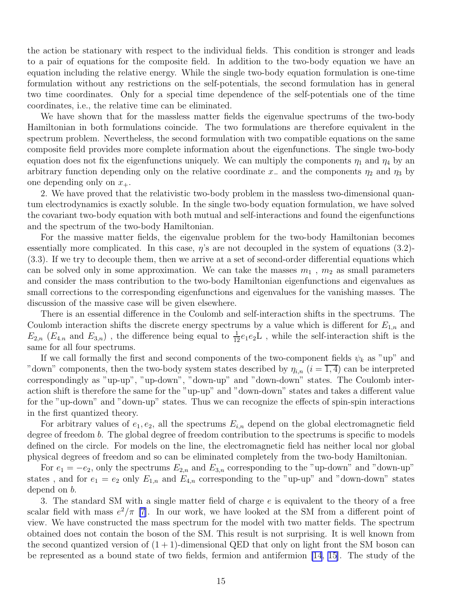the action be stationary with respect to the individual fields. This condition is stronger and leads to a pair of equations for the composite field. In addition to the two-body equation we have an equation including the relative energy. While the single two-body equation formulation is one-time formulation without any restrictions on the self-potentials, the second formulation has in general two time coordinates. Only for a special time dependence of the self-potentials one of the time coordinates, i.e., the relative time can be eliminated.

We have shown that for the massless matter fields the eigenvalue spectrums of the two-body Hamiltonian in both formulations coincide. The two formulations are therefore equivalent in the spectrum problem. Nevertheless, the second formulation with two compatible equations on the same composite field provides more complete information about the eigenfunctions. The single two-body equation does not fix the eigenfunctions uniquely. We can multiply the components  $\eta_1$  and  $\eta_4$  by an arbitrary function depending only on the relative coordinate  $x_$  and the components  $\eta_2$  and  $\eta_3$  by one depending only on  $x_{+}$ .

2. We have proved that the relativistic two-body problem in the massless two-dimensional quantum electrodynamics is exactly soluble. In the single two-body equation formulation, we have solved the covariant two-body equation with both mutual and self-interactions and found the eigenfunctions and the spectrum of the two-body Hamiltonian.

For the massive matter fields, the eigenvalue problem for the two-body Hamiltonian becomes essentially more complicated. In this case,  $\eta$ 's are not decoupled in the system of equations (3.2)-(3.3). If we try to decouple them, then we arrive at a set of second-order differential equations which can be solved only in some approximation. We can take the masses  $m_1$ ,  $m_2$  as small parameters and consider the mass contribution to the two-body Hamiltonian eigenfunctions and eigenvalues as small corrections to the corresponding eigenfunctions and eigenvalues for the vanishing masses. The discussion of the massive case will be given elsewhere.

There is an essential difference in the Coulomb and self-interaction shifts in the spectrums. The Coulomb interaction shifts the discrete energy spectrums by a value which is different for  $E_{1,n}$  and  $E_{2,n}$  ( $E_{4,n}$  and  $E_{3,n}$ ), the difference being equal to  $\frac{1}{12}e_1e_2L$ , while the self-interaction shift is the same for all four spectrums.

If we call formally the first and second components of the two-component fields  $\psi_k$  as "up" and "down" components, then the two-body system states described by  $\eta_{i,n}$   $(i = \overline{1, 4})$  can be interpreted correspondingly as "up-up", "up-down", "down-up" and "down-down" states. The Coulomb interaction shift is therefore the same for the "up-up" and "down-down" states and takes a different value for the "up-down" and "down-up" states. Thus we can recognize the effects of spin-spin interactions in the first quantized theory.

For arbitrary values of  $e_1, e_2$ , all the spectrums  $E_{i,n}$  depend on the global electromagnetic field degree of freedom b. The global degree of freedom contribution to the spectrums is specific to models defined on the circle. For models on the line, the electromagnetic field has neither local nor global physical degrees of freedom and so can be eliminated completely from the two-body Hamiltonian.

For  $e_1 = -e_2$ , only the spectrums  $E_{2,n}$  and  $E_{3,n}$  corresponding to the "up-down" and "down-up" states, and for  $e_1 = e_2$  only  $E_{1,n}$  and  $E_{4,n}$  corresponding to the "up-up" and "down-down" states depend on b.

3. The standard SM with a single matter field of charge e is equivalent to the theory of a free scalar field with mass  $e^2/\pi$  [\[7](#page-15-0)]. In our work, we have looked at the SM from a different point of view. We have constructed the mass spectrum for the model with two matter fields. The spectrum obtained does not contain the boson of the SM. This result is not surprising. It is well known from the second quantized version of  $(1 + 1)$ -dimensional QED that only on light front the SM boson can be represented as a bound state of two fields, fermion and antifermion [\[14](#page-16-0), [15\]](#page-16-0). The study of the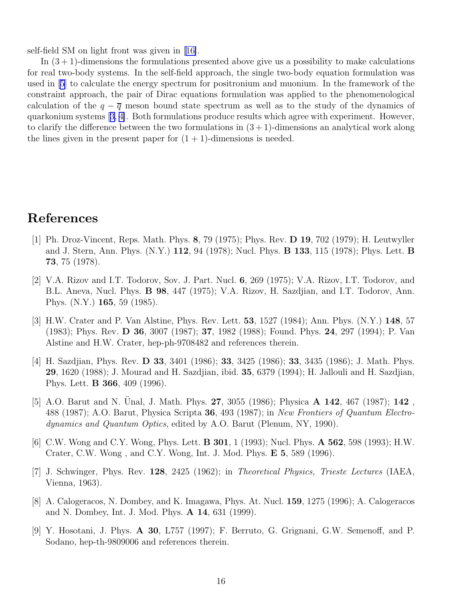<span id="page-15-0"></span>self-field SM on light front was given in[[16\]](#page-16-0).

In  $(3 + 1)$ -dimensions the formulations presented above give us a possibility to make calculations for real two-body systems. In the self-field approach, the single two-body equation formulation was used in [5] to calculate the energy spectrum for positronium and muonium. In the framework of the constraint approach, the pair of Dirac equations formulation was applied to the phenomenological calculation of the  $q - \overline{q}$  meson bound state spectrum as well as to the study of the dynamics of quarkonium systems [3, 4]. Both formulations produce results which agree with experiment. However, to clarify the difference between the two formulations in  $(3+1)$ -dimensions an analytical work along the lines given in the present paper for  $(1 + 1)$ -dimensions is needed.

### References

- [1] Ph. Droz-Vincent, Reps. Math. Phys. 8, 79 (1975); Phys. Rev. D 19, 702 (1979); H. Leutwyller and J. Stern, Ann. Phys. (N.Y.) 112, 94 (1978); Nucl. Phys. B 133, 115 (1978); Phys. Lett. B 73, 75 (1978).
- [2] V.A. Rizov and I.T. Todorov, Sov. J. Part. Nucl. 6, 269 (1975); V.A. Rizov, I.T. Todorov, and B.L. Aneva, Nucl. Phys. B 98, 447 (1975); V.A. Rizov, H. Sazdjian, and I.T. Todorov, Ann. Phys. (N.Y.) 165, 59 (1985).
- [3] H.W. Crater and P. Van Alstine, Phys. Rev. Lett. 53, 1527 (1984); Ann. Phys. (N.Y.) 148, 57 (1983); Phys. Rev. D 36, 3007 (1987); 37, 1982 (1988); Found. Phys. 24, 297 (1994); P. Van Alstine and H.W. Crater, hep-ph-9708482 and references therein.
- [4] H. Sazdjian, Phys. Rev. D 33, 3401 (1986); 33, 3425 (1986); 33, 3435 (1986); J. Math. Phys. 29, 1620 (1988); J. Mourad and H. Sazdjian, ibid. 35, 6379 (1994); H. Jallouli and H. Sazdjian, Phys. Lett. B 366, 409 (1996).
- [5] A.O. Barut and N. Unal, J. Math. Phys. 27, 3055 (1986); Physica  $\bf{A}$  142, 467 (1987); 142. 488 (1987); A.O. Barut, Physica Scripta 36, 493 (1987); in New Frontiers of Quantum Electrodynamics and Quantum Optics, edited by A.O. Barut (Plenum, NY, 1990).
- [6] C.W. Wong and C.Y. Wong, Phys. Lett. B 301, 1 (1993); Nucl. Phys. A 562, 598 (1993); H.W. Crater, C.W. Wong , and C.Y. Wong, Int. J. Mod. Phys. E 5, 589 (1996).
- [7] J. Schwinger, Phys. Rev. 128, 2425 (1962); in Theoretical Physics, Trieste Lectures (IAEA, Vienna, 1963).
- [8] A. Calogeracos, N. Dombey, and K. Imagawa, Phys. At. Nucl. 159, 1275 (1996); A. Calogeracos and N. Dombey, Int. J. Mod. Phys. A 14, 631 (1999).
- [9] Y. Hosotani, J. Phys. A 30, L757 (1997); F. Berruto, G. Grignani, G.W. Semenoff, and P. Sodano, hep-th-9809006 and references therein.